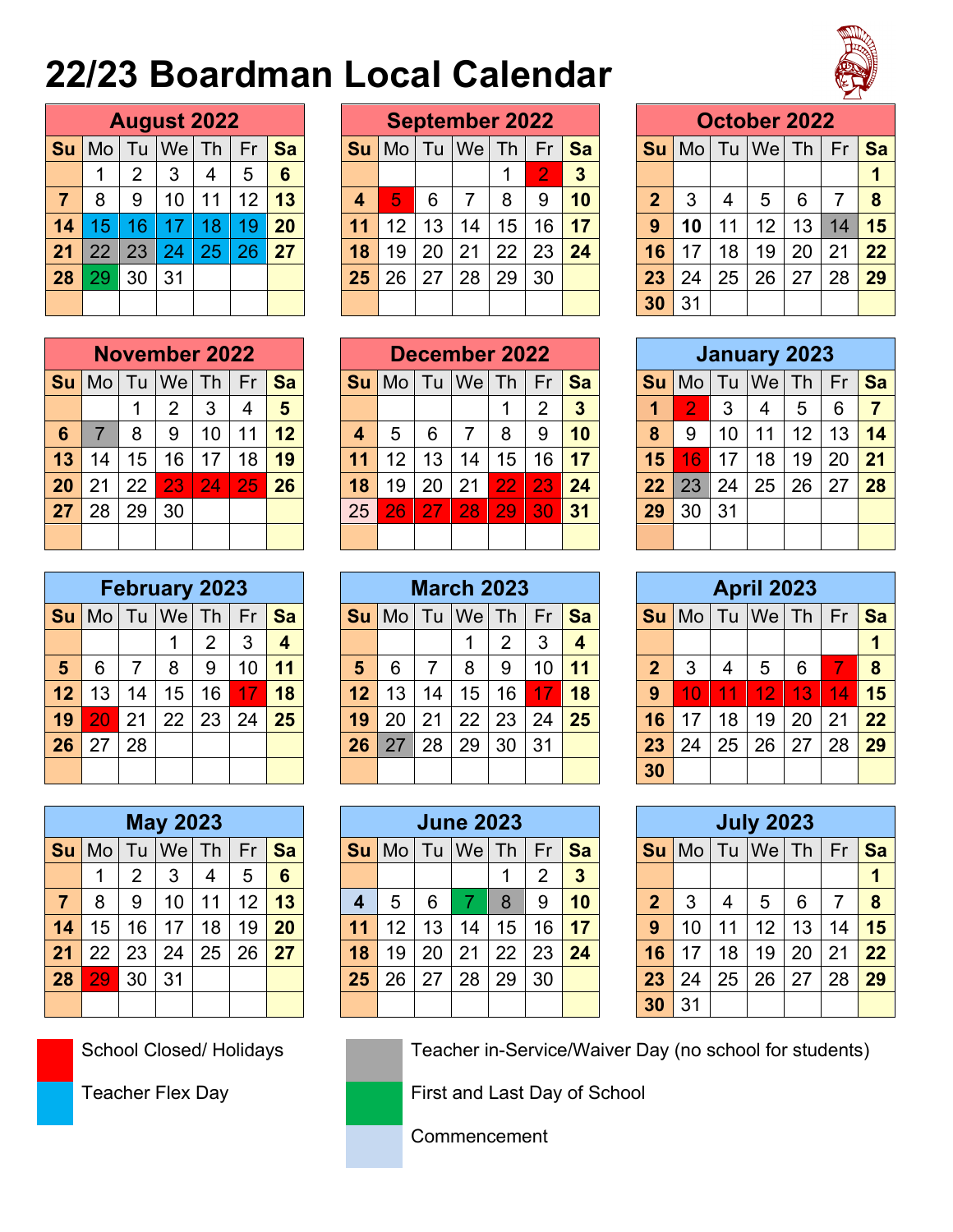## **22/23 Boardman Local Calendar**



|                |    |                | <b>August 2022</b> |    |    |           |
|----------------|----|----------------|--------------------|----|----|-----------|
| Su             | Mo |                | Tu $ $ We $ $ Th   |    | Fr | <b>Sa</b> |
|                |    | $\overline{2}$ | 3                  | 4  | 5  | 6         |
| $\overline{7}$ | 8  | 9              | 10                 | 11 | 12 | 13        |
| 14             | 15 | 16             | 17                 | 18 | 19 | 20        |
| 21             | 22 | 23             | 24                 | 25 | 26 | 27        |
| 28             | 29 | 30             | 31                 |    |    |           |
|                |    |                |                    |    |    |           |

|    |    |     | <b>August 2022</b> |    |    |                 |    |    |    | <b>September 2022</b> |    |    |           |    |    |    | October 2022 |                 |    |    |
|----|----|-----|--------------------|----|----|-----------------|----|----|----|-----------------------|----|----|-----------|----|----|----|--------------|-----------------|----|----|
| Su | Mo | l u | We                 | Th | Fr | Sa              | Su | Mo | Tu | We                    | Th | Fr | <b>Sa</b> | Su | Mo | Tu | Wel          | Th <sub>1</sub> | Fr | Sa |
|    |    |     | 3                  | 4  | 5  | $6\phantom{1}6$ |    |    |    |                       |    | റ  | 3         |    |    |    |              |                 |    |    |
|    | 8  | 9   | 10                 | 11 | 12 | 13              | 4  | 5  | 6  |                       | 8  | 9  | 10        | 2  | 3  | 4  | 5            | 6               |    | -8 |
| 14 | 15 | 6   |                    | 8  |    | 20              |    | 12 | 13 | 14                    | 15 | 16 | 17        | 9  |    | 11 | 12           | 13              | 14 | 15 |
| 21 | 22 | 23  | 24                 | 25 |    | 27              | 18 | 19 | 20 | 21                    | 22 | 23 | 24        | 16 |    | 18 | 19           | 20              | 21 | 22 |
| 28 | 29 | 30  | 31                 |    |    |                 | 25 | 26 | 27 | 28                    | 29 | 30 |           | 23 | 24 | 25 | 26           | 27              | 28 | 29 |
|    |    |     |                    |    |    |                 |    |    |    |                       |    |    |           | 30 | 31 |    |              |                 |    |    |

|                |    |                | October 2022      |    |           |    |
|----------------|----|----------------|-------------------|----|-----------|----|
| Su             |    |                | Mo   Tu   We   Th |    | <b>Fr</b> | Sa |
|                |    |                |                   |    |           |    |
| $\overline{2}$ | 3  | $\overline{4}$ | 5                 | 6  |           | 8  |
| 9              | 10 | 11             | 12                | 13 | 14        | 15 |
| 16             | 17 | 18             | 19                | 20 | 21        | 22 |
| 23             | 24 | 25             | 26                | 27 | 28        | 29 |
| 30             | 31 |                |                   |    |           |    |

|                |    |    | <b>November 2022</b> |    |             |    |           |     |    | <b>December 2022</b> |                 |    |    |    |    |    | January 2023 |    |    |           |
|----------------|----|----|----------------------|----|-------------|----|-----------|-----|----|----------------------|-----------------|----|----|----|----|----|--------------|----|----|-----------|
| ็ม I           | Mo | Tu | We                   | Th | Fr          | Sa | <b>Su</b> | Mo. | Tu | We                   | Th              | Fr | Sa | Su | Mo | Tu | We           | Th | Fr | <b>Sa</b> |
|                |    |    | 2                    |    | 4           | 5  |           |     |    |                      |                 | າ  | 3  |    |    | 3  | 4            | 5  | 6  |           |
| 6              |    | 8  | 9                    | 10 | $\mathbf 1$ | 12 | 4         | 5   | 6  |                      | 8               | 9  | 10 | 8  | 9  | 10 |              | 12 | 13 | 14        |
| $\overline{3}$ | 14 | 15 | 16                   |    | 18          | 19 | 11        | 12  | 13 | 14                   | 15 <sub>1</sub> | 16 | 17 | 15 | 6  | 17 | 18           | 19 | 20 | 21        |
| 20             | 21 | 22 | 23                   | 24 | 25          | 26 | 18        | 19  | 20 | 21                   | 22              | 23 | 24 | 22 | 23 | 24 | 25           | 26 | 27 | 28        |
|                | 28 | 29 | 30                   |    |             |    | 25        | 26  |    | 28                   | 29              | 30 | 31 | 29 | 30 | 31 |              |    |    |           |
|                |    |    |                      |    |             |    |           |     |    |                      |                 |    |    |    |    |    |              |    |    |           |

|                |    |    | <b>April 2023</b> |    |    |           |
|----------------|----|----|-------------------|----|----|-----------|
| Su             |    |    | $Mo$ Tu $We$ Th   |    | Fr | <b>Sa</b> |
|                |    |    |                   |    |    | 1         |
| $\overline{2}$ | 3  | 4  | 5                 | 6  | 7  | 8         |
| 9              | 10 | 11 | 12                | 13 | 14 | 15        |
| 16             | 17 | 18 | 19                | 20 | 21 | 22        |
| 23             | 24 | 25 | 26                | 27 | 28 | 29        |
| 30             |    |    |                   |    |    |           |

|                |                                                 |    | <b>July 2023</b>  |    |    |    |  |  |  |  |  |  |  |  |
|----------------|-------------------------------------------------|----|-------------------|----|----|----|--|--|--|--|--|--|--|--|
| Su             |                                                 |    | Mo   Tu   We   Th |    | Fr | Sa |  |  |  |  |  |  |  |  |
|                |                                                 |    |                   |    |    |    |  |  |  |  |  |  |  |  |
| $\overline{2}$ | 5<br>3<br>6<br>$\overline{4}$<br>$\overline{7}$ |    |                   |    |    |    |  |  |  |  |  |  |  |  |
| $\overline{9}$ | 10                                              | 11 | 12                | 13 | 14 | 15 |  |  |  |  |  |  |  |  |
| 16             | 17                                              | 18 | 19                | 20 | 21 | 22 |  |  |  |  |  |  |  |  |
| 23             | 24                                              | 25 | 26                | 27 | 28 | 29 |  |  |  |  |  |  |  |  |
| 30             | 31                                              |    |                   |    |    |    |  |  |  |  |  |  |  |  |

| ZV             | ∠⊣   | ∠∠            | $\sim$        | $-$ | $\sim$ | ZU | 10                | ات ا | ZU            | ∠ ।           | LL            | $\sim$        | 44        | LL             | ΖJ            | 4          | ∠∪                | ZÜ  | z i           | 70 |
|----------------|------|---------------|---------------|-----|--------|----|-------------------|------|---------------|---------------|---------------|---------------|-----------|----------------|---------------|------------|-------------------|-----|---------------|----|
| 27             | 28   | 29            | 30            |     |        |    | 25                | 26   | 27            | 28            | 29            | 30            | 31        | 29             | 30            | 31         |                   |     |               |    |
|                |      |               |               |     |        |    |                   |      |               |               |               |               |           |                |               |            |                   |     |               |    |
|                |      |               |               |     |        |    |                   |      |               |               |               |               |           |                |               |            |                   |     |               |    |
|                |      |               | February 2023 |     |        |    | <b>March 2023</b> |      |               |               |               |               |           |                |               |            | <b>April 2023</b> |     |               |    |
| Su             | Mo   | Tu            | We            | Th  | Fr     | Sa | Su                | Mo   | Tu            | We            | Th            | Fr            | <b>Sa</b> | Su             | Mo            | Tu         | We                | Th  | Fr            | Sa |
|                |      |               |               | ົ   | 3      | 4  |                   |      |               |               | 2             | 3             | 4         |                |               |            |                   |     |               |    |
| $5\phantom{1}$ | 6    |               | 8             | 9   | 10     | 11 | 5                 | 6    | 7             | 8             | 9             | 10            | 11        | $\overline{2}$ | 3             | 4          | 5                 | 6   |               | 8  |
| 12             | 13   | 14            | 15            | 16  |        | 18 | 12                | 13   | 14            | 15            | 16            | 17            | 18        | 9              |               | V.<br>1    | 12                | 13  | 14            | 15 |
| 19             | 20   | 21            | 22            | 23  | 24     | 25 | 19                | 20   | 21            | 22            | 23            | 24            | 25        | 16             | 7             | 18         | 19                | 20  | 21            | 22 |
| $- -$          | $-1$ | $\sim$ $\sim$ |               |     |        |    | - -               |      | $\sim$ $\sim$ | $\sim$ $\sim$ | $\sim$ $\sim$ | $\sim$ $\sim$ |           | --             | $\sim$ $\sim$ | $\sim$ $-$ | --                | $-$ | $\sim$ $\sim$ |    |

|      |    |     | <b>May 2023</b> |    |                 |                 |           |    |    | <b>June 2023</b> |    |    |           |                |    |    | <b>July 2023</b> |    |    |    |
|------|----|-----|-----------------|----|-----------------|-----------------|-----------|----|----|------------------|----|----|-----------|----------------|----|----|------------------|----|----|----|
| Su l | Mo | l u | <b>We</b>       | Th | Fr              | Sa              | <b>Su</b> | Mo | Tu | <b>We</b>        | Th | Fr | <b>Sa</b> | <b>Su</b>      | Mo | Tu | Wel              | Th | Fr | Sa |
|      |    |     | 3               | 4  | 5               | $6\phantom{1}6$ |           |    |    |                  |    | ົ  | 3         |                |    |    |                  |    |    |    |
|      | 8  |     | 10              | 11 | 12              | 13              |           | 5  | 6  |                  | 8  | 9  | 10        | $\overline{2}$ | 3  | 4  | 5                | 6  |    | 8  |
| 14   | 15 | 16  | 17              | 18 | 19 <sup>°</sup> | 20              |           | 12 | 13 | 14               | 15 | 16 | 17        | 9              | 10 | 11 | 12               | 13 | 14 | 15 |
| 21   | 22 | 23  | 24              | 25 | 26              | 27              | 18        | 19 | 20 | 21               | 22 | 23 | 24        | 16             | 17 | 18 | 19               | 20 | 21 | 22 |
| 28   | 29 | 30  | 31              |    |                 |                 | 25        | 26 | 27 | 28               | 29 | 30 |           | 23             | 24 | 25 | 26               | 27 | 28 | 29 |
|      |    |     |                 |    |                 |                 |           |    |    |                  |    |    |           | 30             | 31 |    |                  |    |    |    |

| 14        | 5  | 16 |                      | 8<br>л | $\overline{9}$ | 20 | 11        | 12 | 13 | 14  | 15                   | 16 | 17 | 9  | 10             |    | 12 | 13                  | 14 | 15 |
|-----------|----|----|----------------------|--------|----------------|----|-----------|----|----|-----|----------------------|----|----|----|----------------|----|----|---------------------|----|----|
| 21        | 22 | 23 | 24                   | 25     | 26             | 27 | 18        | 19 | 20 | 21  | 22                   | 23 | 24 | 16 | 17             | 18 | 19 | 20                  | 21 | 22 |
| 28        | 29 | 30 | 31                   |        |                |    | 25        | 26 | 27 | 28  | 29                   | 30 |    | 23 | 24             | 25 | 26 | 27                  | 28 | 29 |
|           |    |    |                      |        |                |    |           |    |    |     |                      |    |    | 30 | 31             |    |    |                     |    |    |
|           |    |    |                      |        |                |    |           |    |    |     |                      |    |    |    |                |    |    |                     |    |    |
|           |    |    |                      |        |                |    |           |    |    |     |                      |    |    |    |                |    |    |                     |    |    |
|           |    |    | <b>November 2022</b> |        |                |    |           |    |    |     | <b>December 2022</b> |    |    |    |                |    |    | <b>January 2023</b> |    |    |
| <b>Su</b> | Mo | Tu | <b>We</b>            | Th     | Fr             | Sa | <b>Su</b> | Mo | Tu | Wel | Th                   | Fr | Sa | Su | Mo             | Tu | We | Th                  | Fr | Sa |
|           |    |    | っ                    | 3      | 4              | 5  |           |    |    |     |                      | 2  | 3  | 1  | 2              | 3  | 4  | 5                   | 6  | 7  |
| 6         |    | 8  | 9                    | 10     | 1              | 12 | 4         | 5  | 6  |     | 8                    | 9  | 10 | 8  | 9              | 10 | 11 | 12                  | 13 | 14 |
| 13        | 14 | 15 | 16                   | 17     | 8              | 19 | 11        | 12 | 13 | 14  | 15                   | 16 | 17 | 15 | $\overline{6}$ | 17 | 18 | 19                  | 20 | 21 |

| <b>Su</b> |    |                 | $\lfloor M_O \rfloor$ Tu $\lfloor W_O \rfloor$ Th $\lfloor$ |    | Fr | <b>Sa</b> | Su l |                   |              | $\textsf{Mo}$   Tu   We   Th   Fr |           |                 | <b>Sa</b> |    | $Su$ Mo         |    | Tu We Th |                 | Fr i | Sa           |
|-----------|----|-----------------|-------------------------------------------------------------|----|----|-----------|------|-------------------|--------------|-----------------------------------|-----------|-----------------|-----------|----|-----------------|----|----------|-----------------|------|--------------|
|           |    |                 | 2                                                           | 3  | 4  | 5         |      |                   |              |                                   |           | 2               | 3         | 1  |                 | 3  | 4        | 5               | 6    | $\mathbf{7}$ |
| 6         |    | 8               | 9                                                           | 10 | 11 | 12        | 4    | b                 | 6            |                                   | 8         | 9               | 10        | 8  | 9               | 10 | 11       | 12 <sub>1</sub> | 13   | 14           |
| 13        | 14 | 15 <sub>1</sub> | 16                                                          | 17 | 18 | 19        | 11   | $12 \overline{ }$ | 13           | 14                                | 15        | 16              | 17        | 15 | 16 <sup>°</sup> | 17 | 18       | 19              | 20   | 21           |
| 20        | 21 | 22              | 23 <sub>1</sub>                                             | 24 | 25 | 26        | 18   | 19                | 20           | 21                                | <b>22</b> | $\overline{23}$ | 24        | 22 | 23              | 24 | 25       | 26 <sub>1</sub> | 27   | 28           |
| 27        | 28 | 29              | 30                                                          |    |    |           | 25   | 26                | <u>  27 </u> | 28                                |           | 29 30           | 31        | 29 | 30              | 31 |          |                 |      |              |
|           |    |                 |                                                             |    |    |           |      |                   |              |                                   |           |                 |           |    |                 |    |          |                 |      |              |

|    |    |    | <b>February 2023</b> |    |    |           |    |    |    | <b>March 2023</b> |    |                 |    |                |                |    | <b>April 2023</b> |    |    |    |
|----|----|----|----------------------|----|----|-----------|----|----|----|-------------------|----|-----------------|----|----------------|----------------|----|-------------------|----|----|----|
| Su | Mo |    | Tu   We              | Th | Fr | <b>Sa</b> | Su | Mo | Tu | We Th             |    | Fr              | Sa | <b>Su</b>      | $\blacksquare$ | Tu | We                | Th | Fr | Sa |
|    |    |    |                      |    | 3  | 4         |    |    |    |                   | ⌒  | 3               | 4  |                |                |    |                   |    |    |    |
| 5  | 6  |    | 8                    |    | 10 | 11        | 5  | 6  |    | 8                 | 9  | 10 <sup>°</sup> | 11 | $\overline{2}$ | 3              |    | 5                 | 6  |    | 8  |
| 12 | 13 | 14 | 15                   | 16 |    | 18        | 12 | 13 | 14 | 15 <sub>1</sub>   | 16 |                 | 18 | 9              | 10             |    | 12                | 13 | 14 | 15 |
| 19 |    | 21 | 22                   | 23 | 24 | 25        | 19 | 20 | 21 | 22                | 23 | 24              | 25 | 16             |                | 18 | 19                | 20 | 21 | 22 |
| 26 | 27 | 28 |                      |    |    |           | 26 |    | 28 | 29                | 30 | 31              |    | 23             | 24             | 25 | 26                | 27 | 28 | 29 |
|    |    |    |                      |    |    |           |    |    |    |                   |    |                 |    | 30             |                |    |                   |    |    |    |

|    |    |                | <b>May 2023</b> |    |    |    |
|----|----|----------------|-----------------|----|----|----|
| Su |    |                | Mo Tu We Th     |    | Fr | Sa |
|    |    | $\overline{2}$ | 3               | 4  | 5  | 6  |
| 7  | 8  | 9              | 10              | 11 | 12 | 13 |
| 14 | 15 | 16             | 17              | 18 | 19 | 20 |
| 21 | 22 | 23             | 24              | 25 | 26 | 27 |
| 28 | 29 | 30             | 31              |    |    |    |
|    |    |                |                 |    |    |    |

School Closed/ Holidays Teacher in-Service/Waiver Day (no school for students)

Teacher Flex Day **First and Last Day of School** 

Commencement